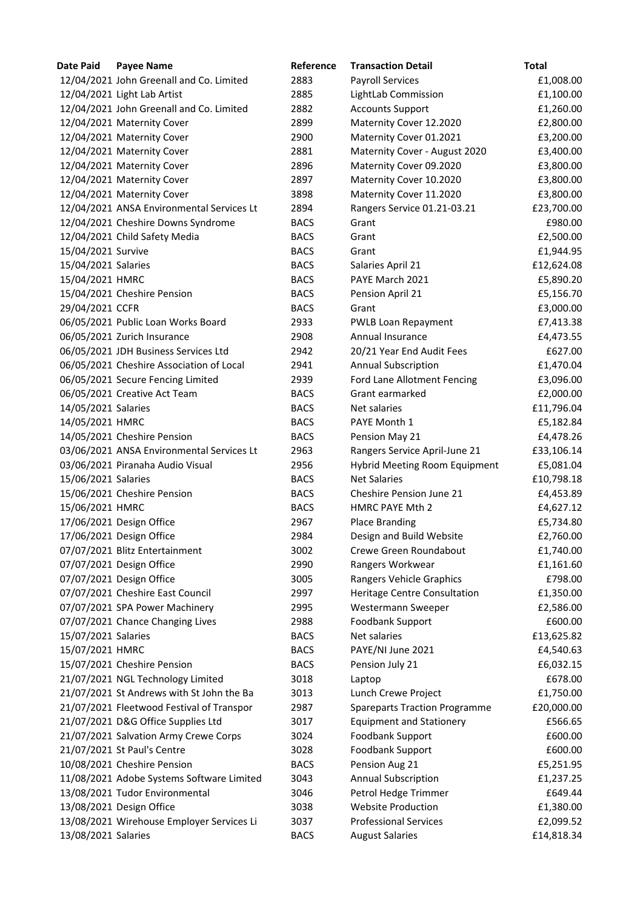| Date Paid           | <b>Payee Name</b>                         | Reference   | <b>Transaction Detail</b>            | <b>Total</b> |
|---------------------|-------------------------------------------|-------------|--------------------------------------|--------------|
|                     | 12/04/2021 John Greenall and Co. Limited  | 2883        | <b>Payroll Services</b>              | £1,008.00    |
|                     | 12/04/2021 Light Lab Artist               | 2885        | LightLab Commission                  | £1,100.00    |
|                     | 12/04/2021 John Greenall and Co. Limited  | 2882        | <b>Accounts Support</b>              | £1,260.00    |
|                     | 12/04/2021 Maternity Cover                | 2899        | Maternity Cover 12.2020              | £2,800.00    |
|                     | 12/04/2021 Maternity Cover                | 2900        | Maternity Cover 01.2021              | £3,200.00    |
|                     | 12/04/2021 Maternity Cover                | 2881        | Maternity Cover - August 2020        | £3,400.00    |
|                     | 12/04/2021 Maternity Cover                | 2896        | Maternity Cover 09.2020              | £3,800.00    |
|                     | 12/04/2021 Maternity Cover                | 2897        | Maternity Cover 10.2020              | £3,800.00    |
|                     | 12/04/2021 Maternity Cover                | 3898        | Maternity Cover 11.2020              | £3,800.00    |
|                     | 12/04/2021 ANSA Environmental Services Lt | 2894        | Rangers Service 01.21-03.21          | £23,700.00   |
|                     | 12/04/2021 Cheshire Downs Syndrome        | <b>BACS</b> | Grant                                | £980.00      |
|                     | 12/04/2021 Child Safety Media             | <b>BACS</b> | Grant                                | £2,500.00    |
| 15/04/2021 Survive  |                                           | <b>BACS</b> | Grant                                | £1,944.95    |
| 15/04/2021 Salaries |                                           | <b>BACS</b> | Salaries April 21                    | £12,624.08   |
| 15/04/2021 HMRC     |                                           | <b>BACS</b> | PAYE March 2021                      | £5,890.20    |
|                     | 15/04/2021 Cheshire Pension               | <b>BACS</b> | Pension April 21                     | £5,156.70    |
| 29/04/2021 CCFR     |                                           | <b>BACS</b> | Grant                                | £3,000.00    |
|                     | 06/05/2021 Public Loan Works Board        | 2933        | PWLB Loan Repayment                  | £7,413.38    |
|                     | 06/05/2021 Zurich Insurance               | 2908        | Annual Insurance                     | £4,473.55    |
|                     | 06/05/2021 JDH Business Services Ltd      | 2942        | 20/21 Year End Audit Fees            | £627.00      |
|                     | 06/05/2021 Cheshire Association of Local  | 2941        | <b>Annual Subscription</b>           | £1,470.04    |
|                     | 06/05/2021 Secure Fencing Limited         | 2939        | Ford Lane Allotment Fencing          | £3,096.00    |
|                     | 06/05/2021 Creative Act Team              | <b>BACS</b> | Grant earmarked                      | £2,000.00    |
| 14/05/2021 Salaries |                                           | <b>BACS</b> | Net salaries                         | £11,796.04   |
| 14/05/2021 HMRC     |                                           | <b>BACS</b> | PAYE Month 1                         | £5,182.84    |
|                     | 14/05/2021 Cheshire Pension               | <b>BACS</b> | Pension May 21                       | £4,478.26    |
|                     | 03/06/2021 ANSA Environmental Services Lt | 2963        | Rangers Service April-June 21        | £33,106.14   |
|                     | 03/06/2021 Piranaha Audio Visual          | 2956        | <b>Hybrid Meeting Room Equipment</b> | £5,081.04    |
| 15/06/2021 Salaries |                                           | <b>BACS</b> | <b>Net Salaries</b>                  | £10,798.18   |
|                     | 15/06/2021 Cheshire Pension               | <b>BACS</b> | Cheshire Pension June 21             | £4,453.89    |
| 15/06/2021 HMRC     |                                           | <b>BACS</b> | HMRC PAYE Mth 2                      | £4,627.12    |
|                     | 17/06/2021 Design Office                  | 2967        | <b>Place Branding</b>                | £5,734.80    |
|                     | 17/06/2021 Design Office                  | 2984        | Design and Build Website             | £2,760.00    |
|                     | 07/07/2021 Blitz Entertainment            | 3002        | Crewe Green Roundabout               | £1,740.00    |
|                     | 07/07/2021 Design Office                  | 2990        | Rangers Workwear                     | £1,161.60    |
|                     | 07/07/2021 Design Office                  | 3005        | Rangers Vehicle Graphics             | £798.00      |
|                     | 07/07/2021 Cheshire East Council          | 2997        | <b>Heritage Centre Consultation</b>  | £1,350.00    |
|                     | 07/07/2021 SPA Power Machinery            | 2995        | Westermann Sweeper                   | £2,586.00    |
|                     | 07/07/2021 Chance Changing Lives          | 2988        | Foodbank Support                     | £600.00      |
| 15/07/2021 Salaries |                                           | <b>BACS</b> | Net salaries                         | £13,625.82   |
| 15/07/2021 HMRC     |                                           | <b>BACS</b> | PAYE/NI June 2021                    | £4,540.63    |
|                     | 15/07/2021 Cheshire Pension               | <b>BACS</b> | Pension July 21                      | £6,032.15    |
|                     | 21/07/2021 NGL Technology Limited         | 3018        | Laptop                               | £678.00      |
|                     | 21/07/2021 St Andrews with St John the Ba | 3013        | Lunch Crewe Project                  | £1,750.00    |
|                     | 21/07/2021 Fleetwood Festival of Transpor | 2987        | <b>Spareparts Traction Programme</b> | £20,000.00   |
|                     | 21/07/2021 D&G Office Supplies Ltd        | 3017        | <b>Equipment and Stationery</b>      | £566.65      |
|                     | 21/07/2021 Salvation Army Crewe Corps     | 3024        | Foodbank Support                     | £600.00      |
|                     | 21/07/2021 St Paul's Centre               | 3028        | Foodbank Support                     | £600.00      |
|                     | 10/08/2021 Cheshire Pension               | <b>BACS</b> | Pension Aug 21                       | £5,251.95    |
|                     | 11/08/2021 Adobe Systems Software Limited | 3043        | <b>Annual Subscription</b>           | £1,237.25    |
|                     | 13/08/2021 Tudor Environmental            | 3046        | Petrol Hedge Trimmer                 | £649.44      |
|                     | 13/08/2021 Design Office                  | 3038        | <b>Website Production</b>            | £1,380.00    |
|                     | 13/08/2021 Wirehouse Employer Services Li | 3037        | <b>Professional Services</b>         | £2,099.52    |
| 13/08/2021 Salaries |                                           | <b>BACS</b> | <b>August Salaries</b>               | £14,818.34   |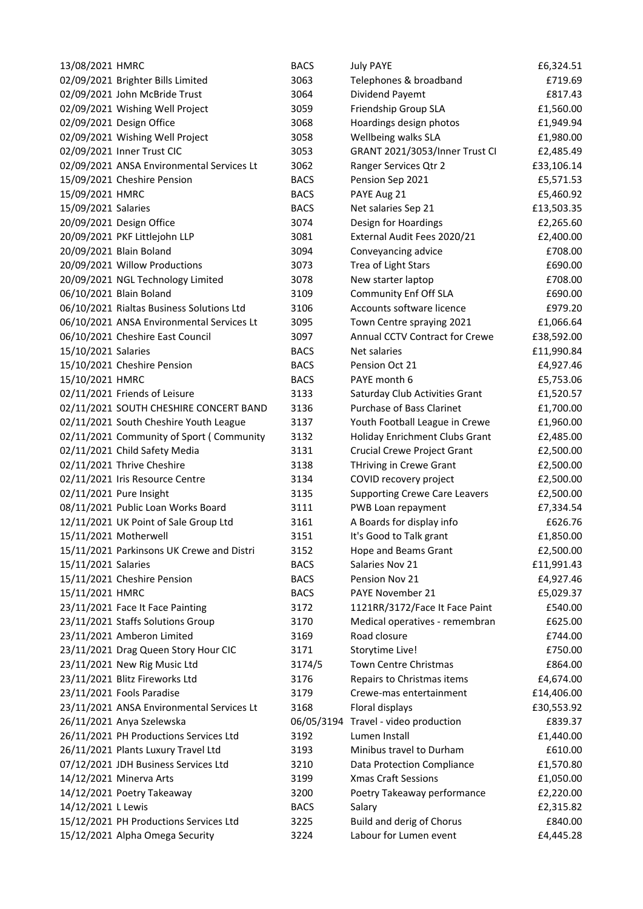| 13/08/2021 HMRC         |                                           | <b>BACS</b> | <b>July PAYE</b>                     | £6,324.51  |
|-------------------------|-------------------------------------------|-------------|--------------------------------------|------------|
|                         | 02/09/2021 Brighter Bills Limited         | 3063        | Telephones & broadband               | £719.69    |
|                         | 02/09/2021 John McBride Trust             | 3064        | Dividend Payemt                      | £817.43    |
|                         | 02/09/2021 Wishing Well Project           | 3059        | Friendship Group SLA                 | £1,560.00  |
|                         | 02/09/2021 Design Office                  | 3068        | Hoardings design photos              | £1,949.94  |
|                         | 02/09/2021 Wishing Well Project           | 3058        | Wellbeing walks SLA                  | £1,980.00  |
|                         | 02/09/2021 Inner Trust CIC                | 3053        | GRANT 2021/3053/Inner Trust CI       | £2,485.49  |
|                         | 02/09/2021 ANSA Environmental Services Lt | 3062        | Ranger Services Qtr 2                | £33,106.14 |
|                         | 15/09/2021 Cheshire Pension               | <b>BACS</b> | Pension Sep 2021                     | £5,571.53  |
| 15/09/2021 HMRC         |                                           | <b>BACS</b> | PAYE Aug 21                          | £5,460.92  |
| 15/09/2021 Salaries     |                                           | <b>BACS</b> | Net salaries Sep 21                  | £13,503.35 |
|                         | 20/09/2021 Design Office                  | 3074        | Design for Hoardings                 | £2,265.60  |
|                         | 20/09/2021 PKF Littlejohn LLP             | 3081        | External Audit Fees 2020/21          | £2,400.00  |
| 20/09/2021 Blain Boland |                                           | 3094        | Conveyancing advice                  | £708.00    |
|                         | 20/09/2021 Willow Productions             | 3073        | Trea of Light Stars                  | £690.00    |
|                         | 20/09/2021 NGL Technology Limited         | 3078        | New starter laptop                   | £708.00    |
| 06/10/2021 Blain Boland |                                           | 3109        | <b>Community Enf Off SLA</b>         | £690.00    |
|                         | 06/10/2021 Rialtas Business Solutions Ltd | 3106        | Accounts software licence            | £979.20    |
|                         | 06/10/2021 ANSA Environmental Services Lt | 3095        | Town Centre spraying 2021            | £1,066.64  |
|                         | 06/10/2021 Cheshire East Council          | 3097        | Annual CCTV Contract for Crewe       | £38,592.00 |
| 15/10/2021 Salaries     |                                           | <b>BACS</b> | Net salaries                         | £11,990.84 |
|                         | 15/10/2021 Cheshire Pension               | <b>BACS</b> | Pension Oct 21                       | £4,927.46  |
| 15/10/2021 HMRC         |                                           | <b>BACS</b> | PAYE month 6                         | £5,753.06  |
|                         | 02/11/2021 Friends of Leisure             | 3133        | Saturday Club Activities Grant       | £1,520.57  |
|                         | 02/11/2021 SOUTH CHESHIRE CONCERT BAND    | 3136        | Purchase of Bass Clarinet            | £1,700.00  |
|                         | 02/11/2021 South Cheshire Youth League    | 3137        | Youth Football League in Crewe       | £1,960.00  |
|                         | 02/11/2021 Community of Sport (Community  | 3132        | Holiday Enrichment Clubs Grant       | £2,485.00  |
|                         | 02/11/2021 Child Safety Media             | 3131        | <b>Crucial Crewe Project Grant</b>   | £2,500.00  |
|                         | 02/11/2021 Thrive Cheshire                | 3138        | THriving in Crewe Grant              | £2,500.00  |
|                         | 02/11/2021 Iris Resource Centre           | 3134        | COVID recovery project               | £2,500.00  |
| 02/11/2021 Pure Insight |                                           | 3135        | <b>Supporting Crewe Care Leavers</b> | £2,500.00  |
|                         | 08/11/2021 Public Loan Works Board        | 3111        | PWB Loan repayment                   | £7,334.54  |
|                         | 12/11/2021 UK Point of Sale Group Ltd     | 3161        | A Boards for display info            | £626.76    |
| 15/11/2021 Motherwell   |                                           | 3151        | It's Good to Talk grant              | £1,850.00  |
|                         | 15/11/2021 Parkinsons UK Crewe and Distri | 3152        | Hope and Beams Grant                 | £2,500.00  |
| 15/11/2021 Salaries     |                                           | <b>BACS</b> | Salaries Nov 21                      | £11,991.43 |
|                         | 15/11/2021 Cheshire Pension               | <b>BACS</b> | Pension Nov 21                       | £4,927.46  |
| 15/11/2021 HMRC         |                                           | <b>BACS</b> | PAYE November 21                     | £5,029.37  |
|                         | 23/11/2021 Face It Face Painting          | 3172        | 1121RR/3172/Face It Face Paint       | £540.00    |
|                         | 23/11/2021 Staffs Solutions Group         | 3170        | Medical operatives - remembran       | £625.00    |
|                         | 23/11/2021 Amberon Limited                | 3169        | Road closure                         | £744.00    |
|                         | 23/11/2021 Drag Queen Story Hour CIC      | 3171        | Storytime Live!                      | £750.00    |
|                         | 23/11/2021 New Rig Music Ltd              | 3174/5      | Town Centre Christmas                | £864.00    |
|                         | 23/11/2021 Blitz Fireworks Ltd            | 3176        | Repairs to Christmas items           | £4,674.00  |
|                         | 23/11/2021 Fools Paradise                 | 3179        | Crewe-mas entertainment              | £14,406.00 |
|                         | 23/11/2021 ANSA Environmental Services Lt | 3168        | Floral displays                      | £30,553.92 |
|                         | 26/11/2021 Anya Szelewska                 | 06/05/3194  | Travel - video production            | £839.37    |
|                         | 26/11/2021 PH Productions Services Ltd    | 3192        | Lumen Install                        | £1,440.00  |
|                         | 26/11/2021 Plants Luxury Travel Ltd       | 3193        | Minibus travel to Durham             | £610.00    |
|                         | 07/12/2021 JDH Business Services Ltd      | 3210        | Data Protection Compliance           | £1,570.80  |
|                         | 14/12/2021 Minerva Arts                   | 3199        | <b>Xmas Craft Sessions</b>           | £1,050.00  |
|                         | 14/12/2021 Poetry Takeaway                | 3200        | Poetry Takeaway performance          | £2,220.00  |
| 14/12/2021 L Lewis      |                                           | <b>BACS</b> | Salary                               | £2,315.82  |
|                         | 15/12/2021 PH Productions Services Ltd    | 3225        | Build and derig of Chorus            | £840.00    |
|                         | 15/12/2021 Alpha Omega Security           | 3224        | Labour for Lumen event               | £4,445.28  |
|                         |                                           |             |                                      |            |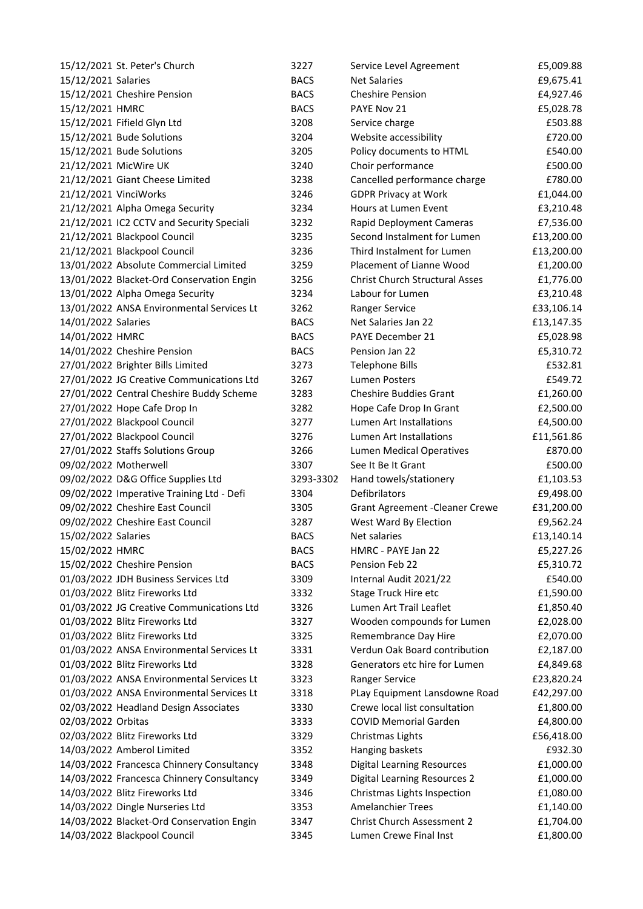|                     | 15/12/2021 St. Peter's Church             | 3227        | Service Level Agreement                | £5,009.88  |
|---------------------|-------------------------------------------|-------------|----------------------------------------|------------|
| 15/12/2021 Salaries |                                           | <b>BACS</b> | <b>Net Salaries</b>                    | £9,675.41  |
|                     | 15/12/2021 Cheshire Pension               | <b>BACS</b> | <b>Cheshire Pension</b>                | £4,927.46  |
| 15/12/2021 HMRC     |                                           | <b>BACS</b> | PAYE Nov 21                            | £5,028.78  |
|                     | 15/12/2021 Fifield Glyn Ltd               | 3208        | Service charge                         | £503.88    |
|                     | 15/12/2021 Bude Solutions                 | 3204        | Website accessibility                  | £720.00    |
|                     | 15/12/2021 Bude Solutions                 | 3205        | Policy documents to HTML               | £540.00    |
|                     | 21/12/2021 MicWire UK                     | 3240        | Choir performance                      | £500.00    |
|                     | 21/12/2021 Giant Cheese Limited           | 3238        | Cancelled performance charge           | £780.00    |
|                     | 21/12/2021 VinciWorks                     | 3246        | <b>GDPR Privacy at Work</b>            | £1,044.00  |
|                     | 21/12/2021 Alpha Omega Security           | 3234        | Hours at Lumen Event                   | £3,210.48  |
|                     | 21/12/2021 IC2 CCTV and Security Speciali | 3232        | Rapid Deployment Cameras               | £7,536.00  |
|                     | 21/12/2021 Blackpool Council              | 3235        | Second Instalment for Lumen            | £13,200.00 |
|                     | 21/12/2021 Blackpool Council              | 3236        | Third Instalment for Lumen             | £13,200.00 |
|                     | 13/01/2022 Absolute Commercial Limited    | 3259        | Placement of Lianne Wood               | £1,200.00  |
|                     | 13/01/2022 Blacket-Ord Conservation Engin | 3256        | <b>Christ Church Structural Asses</b>  | £1,776.00  |
|                     | 13/01/2022 Alpha Omega Security           | 3234        | Labour for Lumen                       | £3,210.48  |
|                     | 13/01/2022 ANSA Environmental Services Lt | 3262        | Ranger Service                         | £33,106.14 |
| 14/01/2022 Salaries |                                           | <b>BACS</b> | Net Salaries Jan 22                    | £13,147.35 |
| 14/01/2022 HMRC     |                                           | <b>BACS</b> | PAYE December 21                       | £5,028.98  |
|                     | 14/01/2022 Cheshire Pension               | <b>BACS</b> | Pension Jan 22                         | £5,310.72  |
|                     | 27/01/2022 Brighter Bills Limited         | 3273        | <b>Telephone Bills</b>                 | £532.81    |
|                     | 27/01/2022 JG Creative Communications Ltd | 3267        | <b>Lumen Posters</b>                   | £549.72    |
|                     | 27/01/2022 Central Cheshire Buddy Scheme  | 3283        | <b>Cheshire Buddies Grant</b>          | £1,260.00  |
|                     | 27/01/2022 Hope Cafe Drop In              | 3282        | Hope Cafe Drop In Grant                | £2,500.00  |
|                     | 27/01/2022 Blackpool Council              | 3277        | Lumen Art Installations                | £4,500.00  |
|                     | 27/01/2022 Blackpool Council              | 3276        | Lumen Art Installations                | £11,561.86 |
|                     | 27/01/2022 Staffs Solutions Group         | 3266        | <b>Lumen Medical Operatives</b>        | £870.00    |
|                     | 09/02/2022 Motherwell                     | 3307        | See It Be It Grant                     | £500.00    |
|                     | 09/02/2022 D&G Office Supplies Ltd        | 3293-3302   | Hand towels/stationery                 | £1,103.53  |
|                     | 09/02/2022 Imperative Training Ltd - Defi | 3304        | Defibrilators                          | £9,498.00  |
|                     | 09/02/2022 Cheshire East Council          | 3305        | <b>Grant Agreement - Cleaner Crewe</b> | £31,200.00 |
|                     | 09/02/2022 Cheshire East Council          | 3287        | West Ward By Election                  | £9,562.24  |
| 15/02/2022 Salaries |                                           | <b>BACS</b> | Net salaries                           |            |
| 15/02/2022 HMRC     |                                           | <b>BACS</b> | HMRC - PAYE Jan 22                     | £13,140.14 |
|                     |                                           |             |                                        | £5,227.26  |
|                     | 15/02/2022 Cheshire Pension               | <b>BACS</b> | Pension Feb 22                         | £5,310.72  |
|                     | 01/03/2022 JDH Business Services Ltd      | 3309        | Internal Audit 2021/22                 | £540.00    |
|                     | 01/03/2022 Blitz Fireworks Ltd            | 3332        | Stage Truck Hire etc                   | £1,590.00  |
|                     | 01/03/2022 JG Creative Communications Ltd | 3326        | Lumen Art Trail Leaflet                | £1,850.40  |
|                     | 01/03/2022 Blitz Fireworks Ltd            | 3327        | Wooden compounds for Lumen             | £2,028.00  |
|                     | 01/03/2022 Blitz Fireworks Ltd            | 3325        | Remembrance Day Hire                   | £2,070.00  |
|                     | 01/03/2022 ANSA Environmental Services Lt | 3331        | Verdun Oak Board contribution          | £2,187.00  |
|                     | 01/03/2022 Blitz Fireworks Ltd            | 3328        | Generators etc hire for Lumen          | £4,849.68  |
|                     | 01/03/2022 ANSA Environmental Services Lt | 3323        | Ranger Service                         | £23,820.24 |
|                     | 01/03/2022 ANSA Environmental Services Lt | 3318        | PLay Equipment Lansdowne Road          | £42,297.00 |
|                     | 02/03/2022 Headland Design Associates     | 3330        | Crewe local list consultation          | £1,800.00  |
| 02/03/2022 Orbitas  |                                           | 3333        | <b>COVID Memorial Garden</b>           | £4,800.00  |
|                     | 02/03/2022 Blitz Fireworks Ltd            | 3329        | Christmas Lights                       | £56,418.00 |
|                     | 14/03/2022 Amberol Limited                | 3352        | Hanging baskets                        | £932.30    |
|                     | 14/03/2022 Francesca Chinnery Consultancy | 3348        | <b>Digital Learning Resources</b>      | £1,000.00  |
|                     | 14/03/2022 Francesca Chinnery Consultancy | 3349        | <b>Digital Learning Resources 2</b>    | £1,000.00  |
|                     | 14/03/2022 Blitz Fireworks Ltd            | 3346        | Christmas Lights Inspection            | £1,080.00  |
|                     | 14/03/2022 Dingle Nurseries Ltd           | 3353        | <b>Amelanchier Trees</b>               | £1,140.00  |
|                     | 14/03/2022 Blacket-Ord Conservation Engin | 3347        | <b>Christ Church Assessment 2</b>      | £1,704.00  |
|                     | 14/03/2022 Blackpool Council              | 3345        | Lumen Crewe Final Inst                 | £1,800.00  |